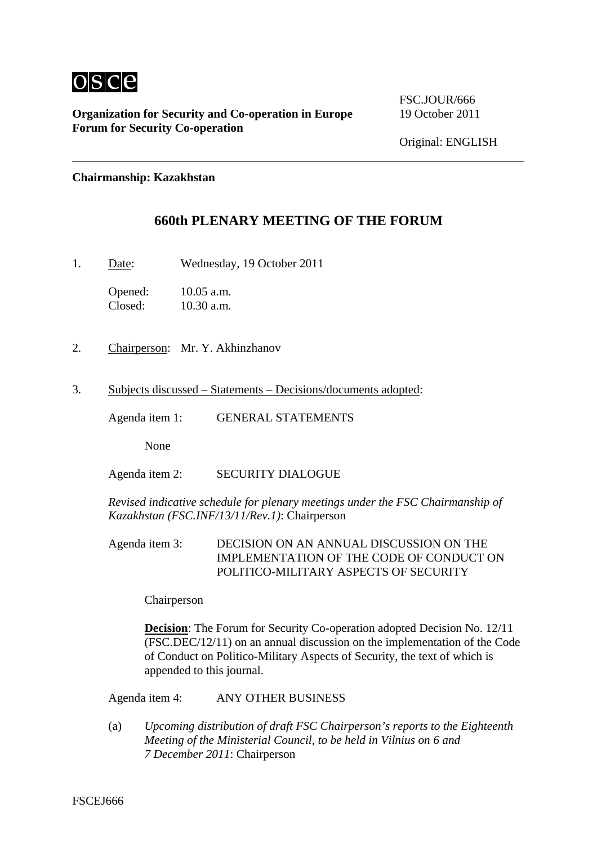

**Organization for Security and Co-operation in Europe** 19 October 2011 **Forum for Security Co-operation** 

FSC.JOUR/666

Original: ENGLISH

#### **Chairmanship: Kazakhstan**

### **660th PLENARY MEETING OF THE FORUM**

1. Date: Wednesday, 19 October 2011

Opened: 10.05 a.m. Closed: 10.30 a.m.

- 2. Chairperson: Mr. Y. Akhinzhanov
- 3. Subjects discussed Statements Decisions/documents adopted:

Agenda item 1: GENERAL STATEMENTS

None

Agenda item 2: SECURITY DIALOGUE

*Revised indicative schedule for plenary meetings under the FSC Chairmanship of Kazakhstan (FSC.INF/13/11/Rev.1)*: Chairperson

Agenda item 3: DECISION ON AN ANNUAL DISCUSSION ON THE IMPLEMENTATION OF THE CODE OF CONDUCT ON POLITICO-MILITARY ASPECTS OF SECURITY

Chairperson

**Decision:** The Forum for Security Co-operation adopted Decision No. 12/11 (FSC.DEC/12/11) on an annual discussion on the implementation of the Code of Conduct on Politico-Military Aspects of Security, the text of which is appended to this journal.

Agenda item 4: ANY OTHER BUSINESS

(a) *Upcoming distribution of draft FSC Chairperson's reports to the Eighteenth Meeting of the Ministerial Council, to be held in Vilnius on 6 and 7 December 2011*: Chairperson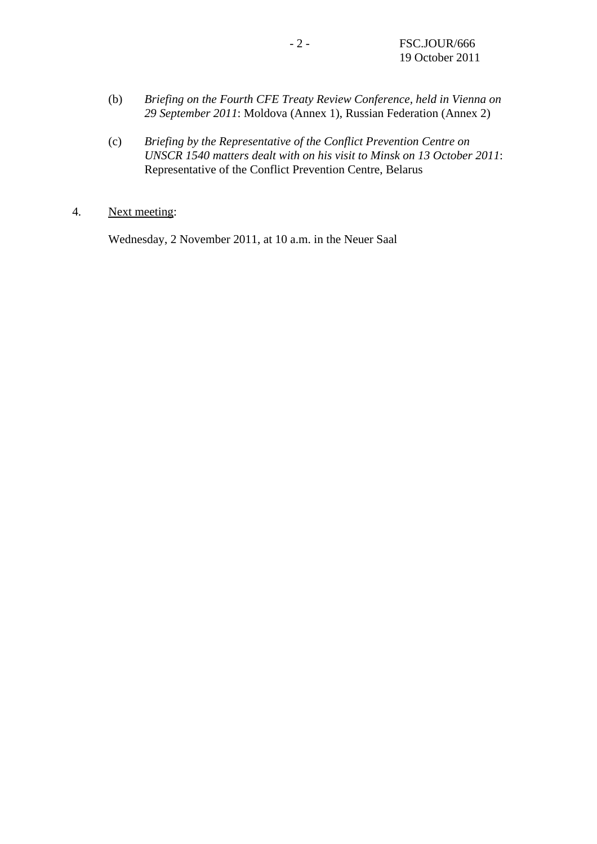- (b) *Briefing on the Fourth CFE Treaty Review Conference, held in Vienna on 29 September 2011*: Moldova (Annex 1), Russian Federation (Annex 2)
- (c) *Briefing by the Representative of the Conflict Prevention Centre on UNSCR 1540 matters dealt with on his visit to Minsk on 13 October 2011*: Representative of the Conflict Prevention Centre, Belarus
- 4. Next meeting:

Wednesday, 2 November 2011, at 10 a.m. in the Neuer Saal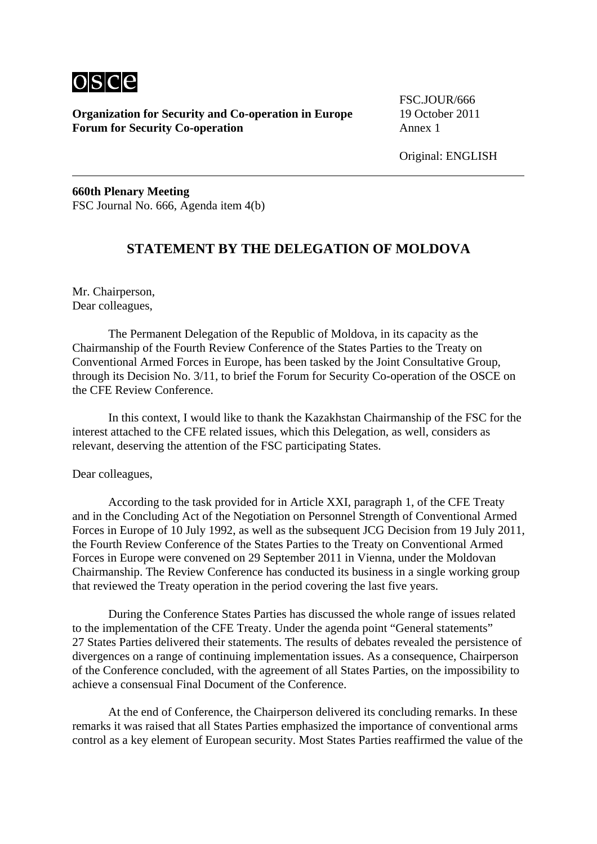

**Organization for Security and Co-operation in Europe** 19 October 2011 **Forum for Security Co-operation Annex 1** 

FSC.JOUR/666

Original: ENGLISH

**660th Plenary Meeting**  FSC Journal No. 666, Agenda item 4(b)

## **STATEMENT BY THE DELEGATION OF MOLDOVA**

Mr. Chairperson, Dear colleagues,

 The Permanent Delegation of the Republic of Moldova, in its capacity as the Chairmanship of the Fourth Review Conference of the States Parties to the Treaty on Conventional Armed Forces in Europe, has been tasked by the Joint Consultative Group, through its Decision No. 3/11, to brief the Forum for Security Co-operation of the OSCE on the CFE Review Conference.

 In this context, I would like to thank the Kazakhstan Chairmanship of the FSC for the interest attached to the CFE related issues, which this Delegation, as well, considers as relevant, deserving the attention of the FSC participating States.

#### Dear colleagues,

 According to the task provided for in Article XXI, paragraph 1, of the CFE Treaty and in the Concluding Act of the Negotiation on Personnel Strength of Conventional Armed Forces in Europe of 10 July 1992, as well as the subsequent JCG Decision from 19 July 2011, the Fourth Review Conference of the States Parties to the Treaty on Conventional Armed Forces in Europe were convened on 29 September 2011 in Vienna, under the Moldovan Chairmanship. The Review Conference has conducted its business in a single working group that reviewed the Treaty operation in the period covering the last five years.

 During the Conference States Parties has discussed the whole range of issues related to the implementation of the CFE Treaty. Under the agenda point "General statements" 27 States Parties delivered their statements. The results of debates revealed the persistence of divergences on a range of continuing implementation issues. As a consequence, Chairperson of the Conference concluded, with the agreement of all States Parties, on the impossibility to achieve a consensual Final Document of the Conference.

 At the end of Conference, the Chairperson delivered its concluding remarks. In these remarks it was raised that all States Parties emphasized the importance of conventional arms control as a key element of European security. Most States Parties reaffirmed the value of the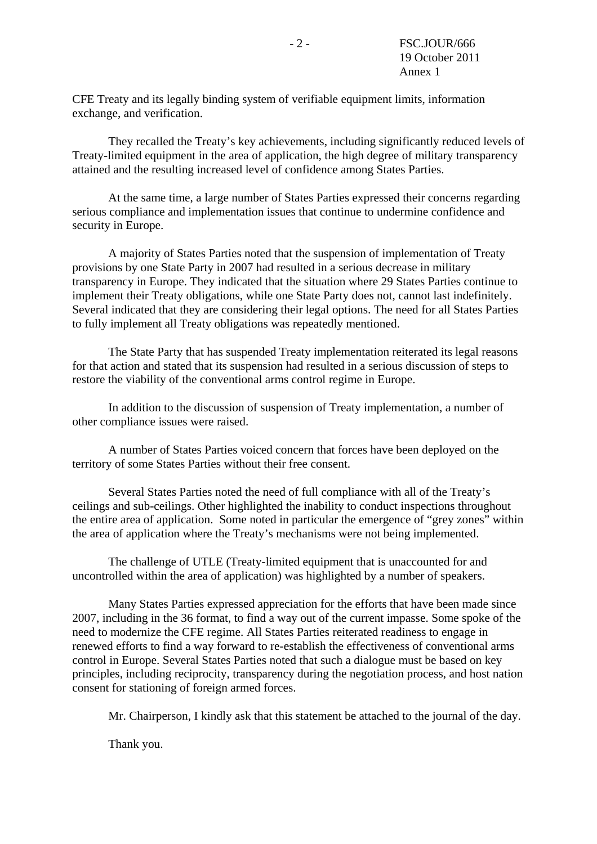CFE Treaty and its legally binding system of verifiable equipment limits, information exchange, and verification.

 They recalled the Treaty's key achievements, including significantly reduced levels of Treaty-limited equipment in the area of application, the high degree of military transparency attained and the resulting increased level of confidence among States Parties.

 At the same time, a large number of States Parties expressed their concerns regarding serious compliance and implementation issues that continue to undermine confidence and security in Europe.

 A majority of States Parties noted that the suspension of implementation of Treaty provisions by one State Party in 2007 had resulted in a serious decrease in military transparency in Europe. They indicated that the situation where 29 States Parties continue to implement their Treaty obligations, while one State Party does not, cannot last indefinitely. Several indicated that they are considering their legal options. The need for all States Parties to fully implement all Treaty obligations was repeatedly mentioned.

 The State Party that has suspended Treaty implementation reiterated its legal reasons for that action and stated that its suspension had resulted in a serious discussion of steps to restore the viability of the conventional arms control regime in Europe.

 In addition to the discussion of suspension of Treaty implementation, a number of other compliance issues were raised.

 A number of States Parties voiced concern that forces have been deployed on the territory of some States Parties without their free consent.

 Several States Parties noted the need of full compliance with all of the Treaty's ceilings and sub-ceilings. Other highlighted the inability to conduct inspections throughout the entire area of application. Some noted in particular the emergence of "grey zones" within the area of application where the Treaty's mechanisms were not being implemented.

 The challenge of UTLE (Treaty-limited equipment that is unaccounted for and uncontrolled within the area of application) was highlighted by a number of speakers.

 Many States Parties expressed appreciation for the efforts that have been made since 2007, including in the 36 format, to find a way out of the current impasse. Some spoke of the need to modernize the CFE regime. All States Parties reiterated readiness to engage in renewed efforts to find a way forward to re-establish the effectiveness of conventional arms control in Europe. Several States Parties noted that such a dialogue must be based on key principles, including reciprocity, transparency during the negotiation process, and host nation consent for stationing of foreign armed forces.

Mr. Chairperson, I kindly ask that this statement be attached to the journal of the day.

Thank you.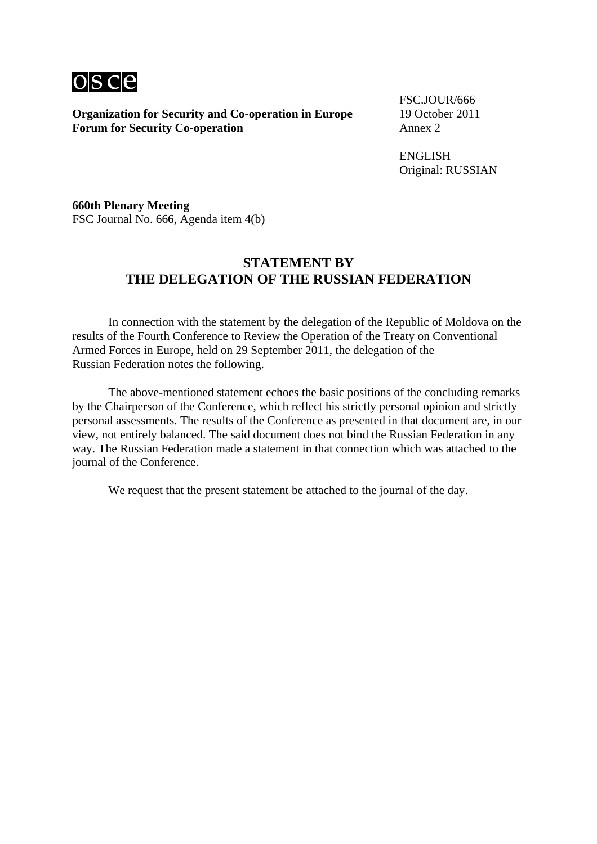

**Organization for Security and Co-operation in Europe** 19 October 2011 **Forum for Security Co-operation Annex 2** 

FSC.JOUR/666

**ENGLISH** Original: RUSSIAN

**660th Plenary Meeting**  FSC Journal No. 666, Agenda item 4(b)

## **STATEMENT BY THE DELEGATION OF THE RUSSIAN FEDERATION**

 In connection with the statement by the delegation of the Republic of Moldova on the results of the Fourth Conference to Review the Operation of the Treaty on Conventional Armed Forces in Europe, held on 29 September 2011, the delegation of the Russian Federation notes the following.

 The above-mentioned statement echoes the basic positions of the concluding remarks by the Chairperson of the Conference, which reflect his strictly personal opinion and strictly personal assessments. The results of the Conference as presented in that document are, in our view, not entirely balanced. The said document does not bind the Russian Federation in any way. The Russian Federation made a statement in that connection which was attached to the journal of the Conference.

We request that the present statement be attached to the journal of the day.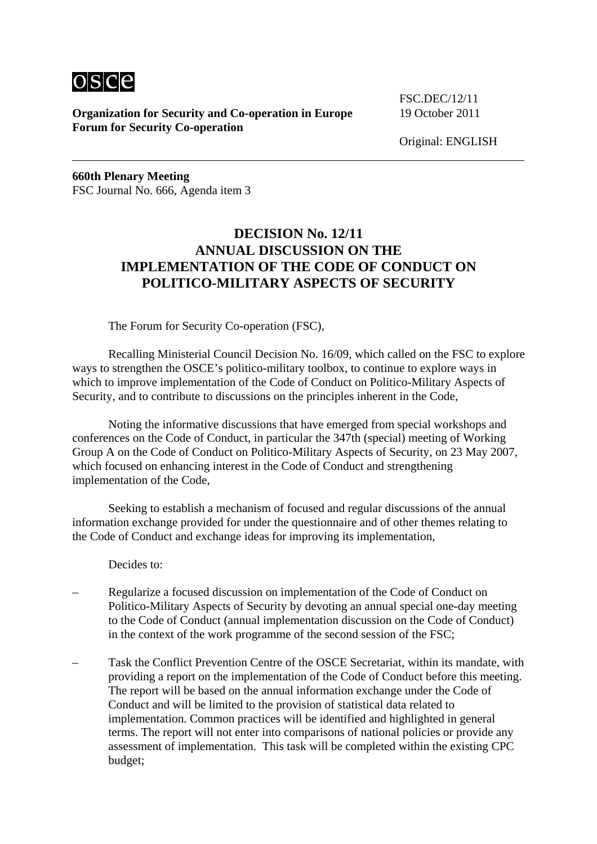

**Organization for Security and Co-operation in Europe** 19 October 2011 **Forum for Security Co-operation** 

FSC.DEC/12/11

Original: ENGLISH

**660th Plenary Meeting**  FSC Journal No. 666, Agenda item 3

# **DECISION No. 12/11 ANNUAL DISCUSSION ON THE IMPLEMENTATION OF THE CODE OF CONDUCT ON POLITICO-MILITARY ASPECTS OF SECURITY**

The Forum for Security Co-operation (FSC),

 Recalling Ministerial Council Decision No. 16/09, which called on the FSC to explore ways to strengthen the OSCE's politico-military toolbox, to continue to explore ways in which to improve implementation of the Code of Conduct on Politico-Military Aspects of Security, and to contribute to discussions on the principles inherent in the Code,

 Noting the informative discussions that have emerged from special workshops and conferences on the Code of Conduct, in particular the 347th (special) meeting of Working Group A on the Code of Conduct on Politico-Military Aspects of Security, on 23 May 2007, which focused on enhancing interest in the Code of Conduct and strengthening implementation of the Code,

 Seeking to establish a mechanism of focused and regular discussions of the annual information exchange provided for under the questionnaire and of other themes relating to the Code of Conduct and exchange ideas for improving its implementation,

Decides to:

- Regularize a focused discussion on implementation of the Code of Conduct on Politico-Military Aspects of Security by devoting an annual special one-day meeting to the Code of Conduct (annual implementation discussion on the Code of Conduct) in the context of the work programme of the second session of the FSC;
- Task the Conflict Prevention Centre of the OSCE Secretariat, within its mandate, with providing a report on the implementation of the Code of Conduct before this meeting. The report will be based on the annual information exchange under the Code of Conduct and will be limited to the provision of statistical data related to implementation. Common practices will be identified and highlighted in general terms. The report will not enter into comparisons of national policies or provide any assessment of implementation. This task will be completed within the existing CPC budget;